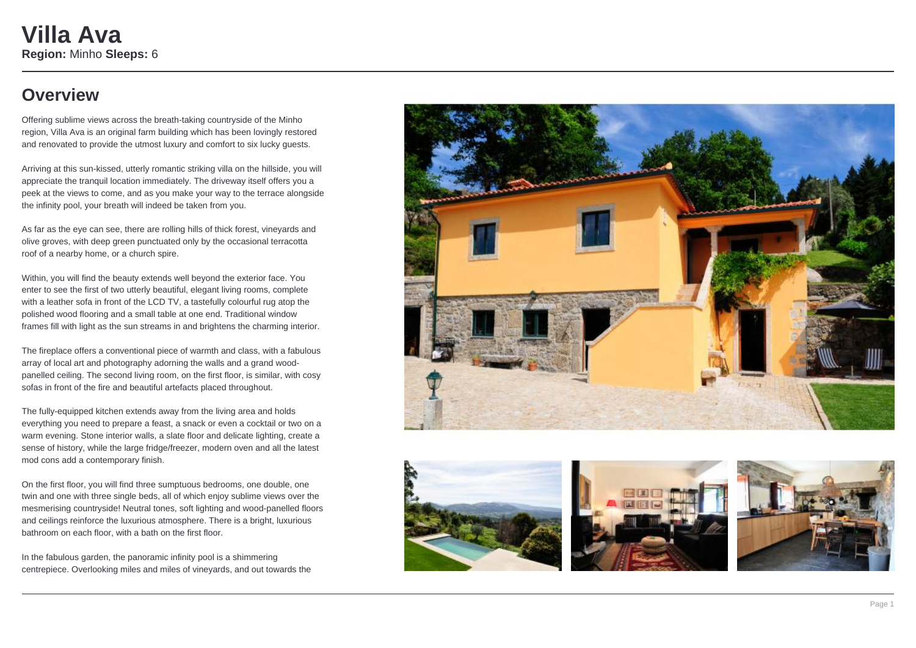## **Overview**

Offering sublime views across the breath-taking countryside of the Minho region, Villa Ava is an original farm building which has been lovingly restored and renovated to provide the utmost luxury and comfort to six lucky guests.

Arriving at this sun-kissed, utterly romantic striking villa on the hillside, you will appreciate the tranquil location immediately. The driveway itself offers you a peek at the views to come, and as you make your way to the terrace alongside the infinity pool, your breath will indeed be taken from you.

As far as the eye can see, there are rolling hills of thick forest, vineyards and olive groves, with deep green punctuated only by the occasional terracotta roof of a nearby home, or a church spire.

Within, you will find the beauty extends well beyond the exterior face. You enter to see the first of two utterly beautiful, elegant living rooms, complete with a leather sofa in front of the LCD TV, a tastefully colourful rug atop the polished wood flooring and a small table at one end. Traditional window frames fill with light as the sun streams in and brightens the charming interior.

The fireplace offers a conventional piece of warmth and class, with a fabulous array of local art and photography adorning the walls and a grand woodpanelled ceiling. The second living room, on the first floor, is similar, with cosy sofas in front of the fire and beautiful artefacts placed throughout.

The fully-equipped kitchen extends away from the living area and holds everything you need to prepare a feast, a snack or even a cocktail or two on a warm evening. Stone interior walls, a slate floor and delicate lighting, create a sense of history, while the large fridge/freezer, modern oven and all the latest mod cons add a contemporary finish.

On the first floor, you will find three sumptuous bedrooms, one double, one twin and one with three single beds, all of which enjoy sublime views over the mesmerising countryside! Neutral tones, soft lighting and wood-panelled floors and ceilings reinforce the luxurious atmosphere. There is a bright, luxurious bathroom on each floor, with a bath on the first floor.

In the fabulous garden, the panoramic infinity pool is a shimmering centrepiece. Overlooking miles and miles of vineyards, and out towards the







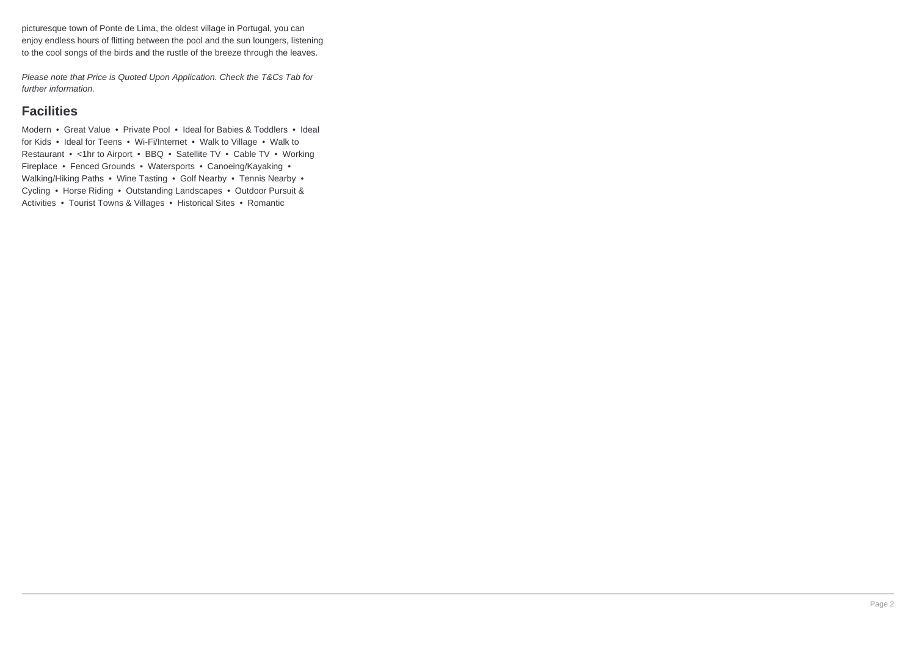picturesque town of Ponte de Lima, the oldest village in Portugal, you can enjoy endless hours of flitting between the pool and the sun loungers, listening to the cool songs of the birds and the rustle of the breeze through the leaves.

Please note that Price is Quoted Upon Application. Check the T&Cs Tab for further information.

### **Facilities**

Modern • Great Value • Private Pool • Ideal for Babies & Toddlers • Ideal for Kids • Ideal for Teens • Wi-Fi/Internet • Walk to Village • Walk to Restaurant • <1hr to Airport • BBQ • Satellite TV • Cable TV • Working Fireplace • Fenced Grounds • Watersports • Canoeing/Kayaking • Walking/Hiking Paths • Wine Tasting • Golf Nearby • Tennis Nearby • Cycling • Horse Riding • Outstanding Landscapes • Outdoor Pursuit & Activities • Tourist Towns & Villages • Historical Sites • Romantic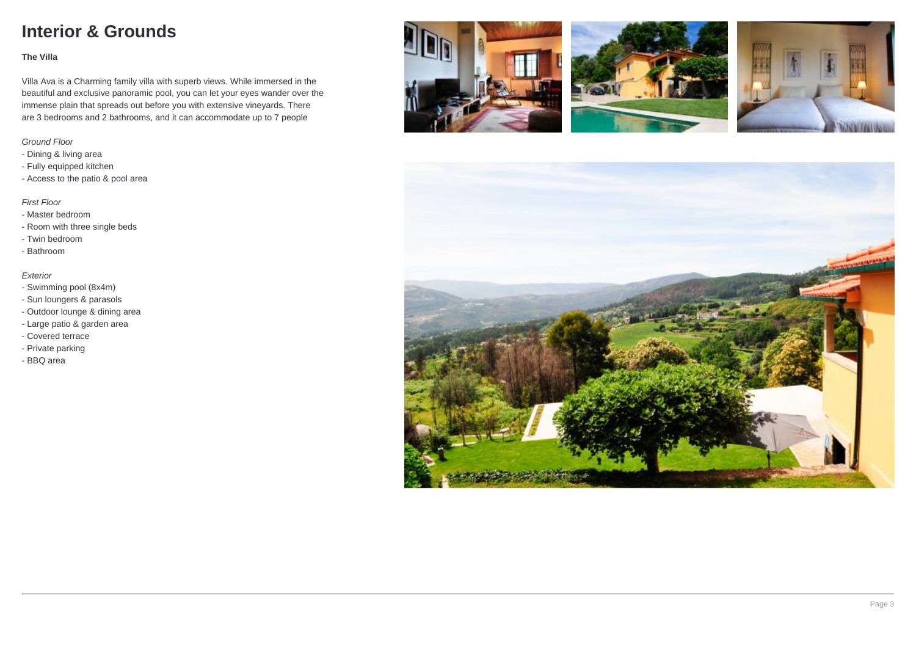# **Interior & Grounds**

#### **The Villa**

Villa Ava is a Charming family villa with superb views. While immersed in the beautiful and exclusive panoramic pool, you can let your eyes wander over the immense plain that spreads out before you with extensive vineyards. There are 3 bedrooms and 2 bathrooms, and it can accommodate up to 7 people

### Ground Floor

- Dining & living area
- Fully equipped kitchen
- Access to the patio & pool area

### First Floor

- Master bedroom
- Room with three single beds
- Twin bedroom
- Bathroom

#### Exterior

- Swimming pool (8x4m)
- Sun loungers & parasols
- Outdoor lounge & dining area
- Large patio & garden area
- Covered terrace
- Private parking
- BBQ area







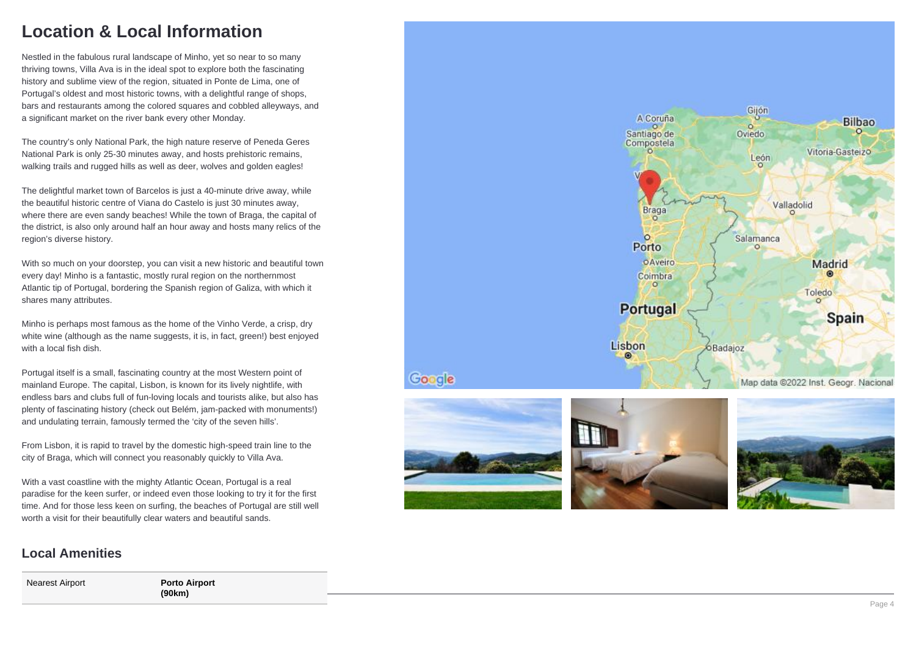## **Location & Local Information**

Nestled in the fabulous rural landscape of Minho, yet so near to so many thriving towns, Villa Ava is in the ideal spot to explore both the fascinating history and sublime view of the region, situated in Ponte de Lima, one of Portugal's oldest and most historic towns, with a delightful range of shops, bars and restaurants among the colored squares and cobbled alleyways, and a significant market on the river bank every other Monday.

The country's only National Park, the high nature reserve of Peneda Geres National Park is only 25-30 minutes away, and hosts prehistoric remains, walking trails and rugged hills as well as deer, wolves and golden eagles!

The delightful market town of Barcelos is just a 40-minute drive away, while the beautiful historic centre of Viana do Castelo is just 30 minutes away, where there are even sandy beaches! While the town of Braga, the capital of the district, is also only around half an hour away and hosts many relics of the region's diverse history.

With so much on your doorstep, you can visit a new historic and beautiful town every day! Minho is a fantastic, mostly rural region on the northernmost Atlantic tip of Portugal, bordering the Spanish region of Galiza, with which it shares many attributes.

Minho is perhaps most famous as the home of the Vinho Verde, a crisp, dry white wine (although as the name suggests, it is, in fact, green!) best enjoyed with a local fish dish.

Portugal itself is a small, fascinating country at the most Western point of mainland Europe. The capital, Lisbon, is known for its lively nightlife, with endless bars and clubs full of fun-loving locals and tourists alike, but also has plenty of fascinating history (check out Belém, jam-packed with monuments!) and undulating terrain, famously termed the 'city of the seven hills'.

From Lisbon, it is rapid to travel by the domestic high-speed train line to the city of Braga, which will connect you reasonably quickly to Villa Ava.

With a vast coastline with the mighty Atlantic Ocean, Portugal is a real paradise for the keen surfer, or indeed even those looking to try it for the first time. And for those less keen on surfing, the beaches of Portugal are still well worth a visit for their beautifully clear waters and beautiful sands.

### **Local Amenities**

Nearest Airport **Porto Airport**

**(90km)**





Google



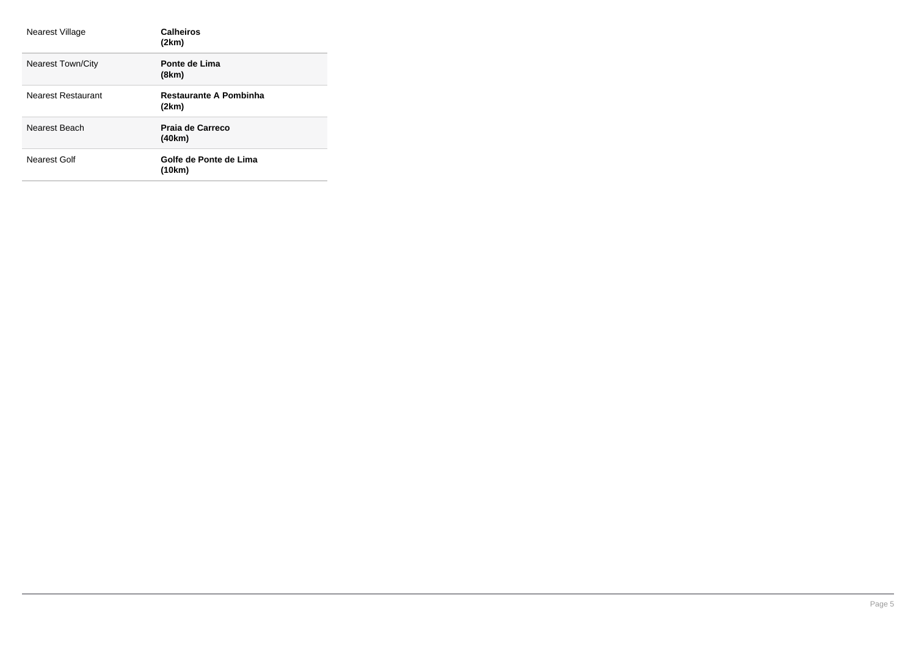| Nearest Village          | <b>Calheiros</b><br>(2km)              |
|--------------------------|----------------------------------------|
| <b>Nearest Town/City</b> | Ponte de Lima<br>(8km)                 |
| Nearest Restaurant       | <b>Restaurante A Pombinha</b><br>(2km) |
| Nearest Beach            | Praia de Carreco<br>(40km)             |
| Nearest Golf             | Golfe de Ponte de Lima<br>(10km)       |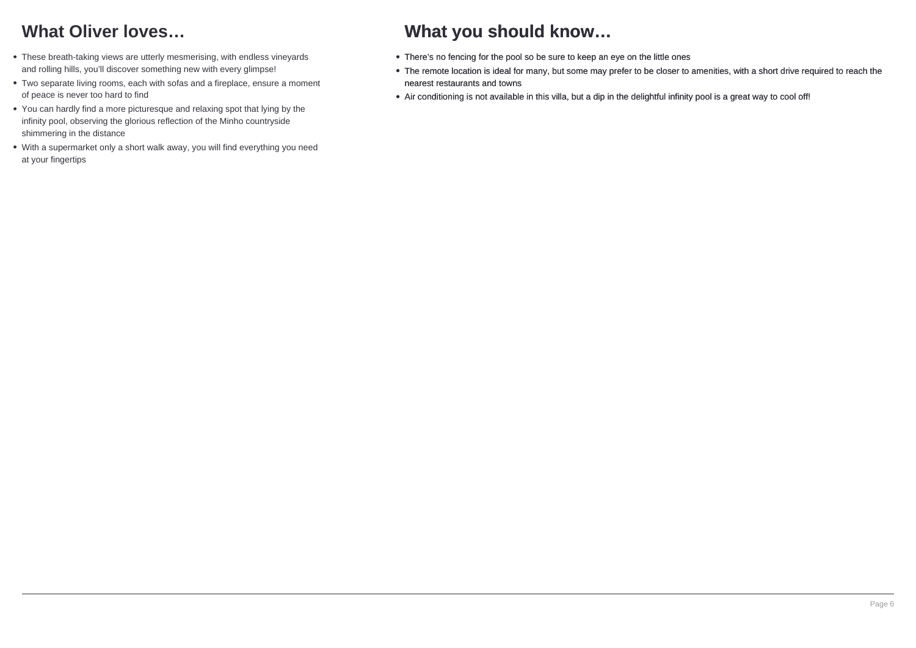# **What Oliver loves…**

- These breath-taking views are utterly mesmerising, with endless vineyards and rolling hills, you'll discover something new with every glimpse!
- Two separate living rooms, each with sofas and a fireplace, ensure a moment of peace is never too hard to find
- You can hardly find a more picturesque and relaxing spot that lying by the infinity pool, observing the glorious reflection of the Minho countryside shimmering in the distance
- With a supermarket only a short walk away, you will find everything you need at your fingertips

## **What you should know…**

- There's no fencing for the pool so be sure to keep an eye on the little ones
- The remote location is ideal for many, but some may prefer to be closer to amenities, with a short drive required to reach the nearest restaurants and towns
- Air conditioning is not available in this villa, but a dip in the delightful infinity pool is a great way to cool off!